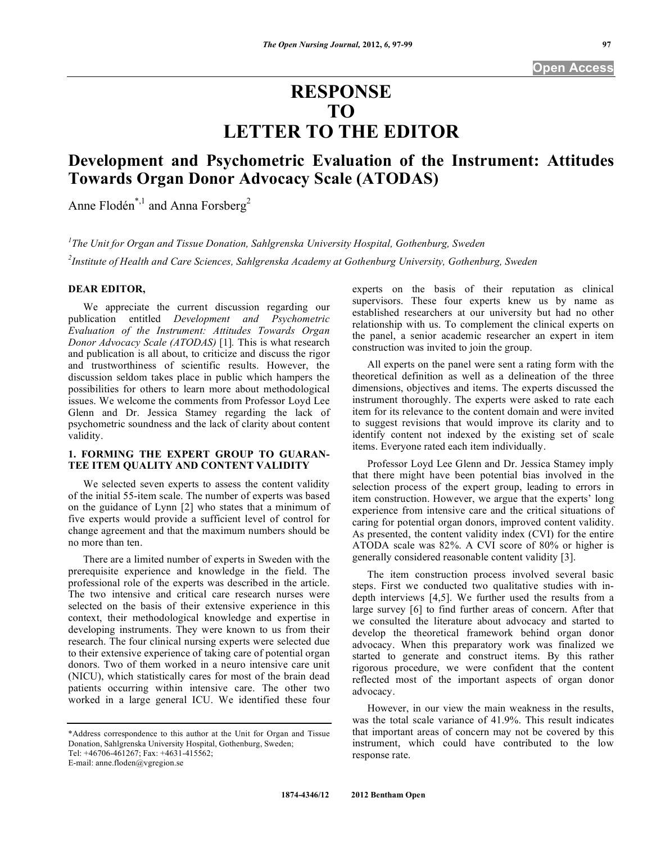# **RESPONSE TO LETTER TO THE EDITOR**

## **Development and Psychometric Evaluation of the Instrument: Attitudes Towards Organ Donor Advocacy Scale (ATODAS)**

Anne Flodén<sup>\*,1</sup> and Anna Forsberg<sup>2</sup>

*1 The Unit for Organ and Tissue Donation, Sahlgrenska University Hospital, Gothenburg, Sweden 2 Institute of Health and Care Sciences, Sahlgrenska Academy at Gothenburg University, Gothenburg, Sweden* 

#### **DEAR EDITOR,**

 We appreciate the current discussion regarding our publication entitled *Development and Psychometric Evaluation of the Instrument: Attitudes Towards Organ Donor Advocacy Scale (ATODAS)* [1]*.* This is what research and publication is all about, to criticize and discuss the rigor and trustworthiness of scientific results. However, the discussion seldom takes place in public which hampers the possibilities for others to learn more about methodological issues. We welcome the comments from Professor Loyd Lee Glenn and Dr. Jessica Stamey regarding the lack of psychometric soundness and the lack of clarity about content validity.

### **1. FORMING THE EXPERT GROUP TO GUARAN-TEE ITEM QUALITY AND CONTENT VALIDITY**

 We selected seven experts to assess the content validity of the initial 55-item scale. The number of experts was based on the guidance of Lynn [2] who states that a minimum of five experts would provide a sufficient level of control for change agreement and that the maximum numbers should be no more than ten.

 There are a limited number of experts in Sweden with the prerequisite experience and knowledge in the field. The professional role of the experts was described in the article. The two intensive and critical care research nurses were selected on the basis of their extensive experience in this context, their methodological knowledge and expertise in developing instruments. They were known to us from their research. The four clinical nursing experts were selected due to their extensive experience of taking care of potential organ donors. Two of them worked in a neuro intensive care unit (NICU), which statistically cares for most of the brain dead patients occurring within intensive care. The other two worked in a large general ICU. We identified these four

E-mail: anne.floden@vgregion.se

experts on the basis of their reputation as clinical supervisors. These four experts knew us by name as established researchers at our university but had no other relationship with us. To complement the clinical experts on the panel, a senior academic researcher an expert in item construction was invited to join the group.

 All experts on the panel were sent a rating form with the theoretical definition as well as a delineation of the three dimensions, objectives and items. The experts discussed the instrument thoroughly. The experts were asked to rate each item for its relevance to the content domain and were invited to suggest revisions that would improve its clarity and to identify content not indexed by the existing set of scale items. Everyone rated each item individually.

 Professor Loyd Lee Glenn and Dr. Jessica Stamey imply that there might have been potential bias involved in the selection process of the expert group, leading to errors in item construction. However, we argue that the experts' long experience from intensive care and the critical situations of caring for potential organ donors, improved content validity. As presented, the content validity index (CVI) for the entire ATODA scale was 82%. A CVI score of 80% or higher is generally considered reasonable content validity [3].

 The item construction process involved several basic steps. First we conducted two qualitative studies with indepth interviews [4,5]. We further used the results from a large survey [6] to find further areas of concern. After that we consulted the literature about advocacy and started to develop the theoretical framework behind organ donor advocacy. When this preparatory work was finalized we started to generate and construct items. By this rather rigorous procedure, we were confident that the content reflected most of the important aspects of organ donor advocacy.

 However, in our view the main weakness in the results, was the total scale variance of 41.9%. This result indicates that important areas of concern may not be covered by this instrument, which could have contributed to the low response rate.

<sup>\*</sup>Address correspondence to this author at the Unit for Organ and Tissue Donation, Sahlgrenska University Hospital, Gothenburg, Sweden; Tel: +46706-461267; Fax: +4631-415562;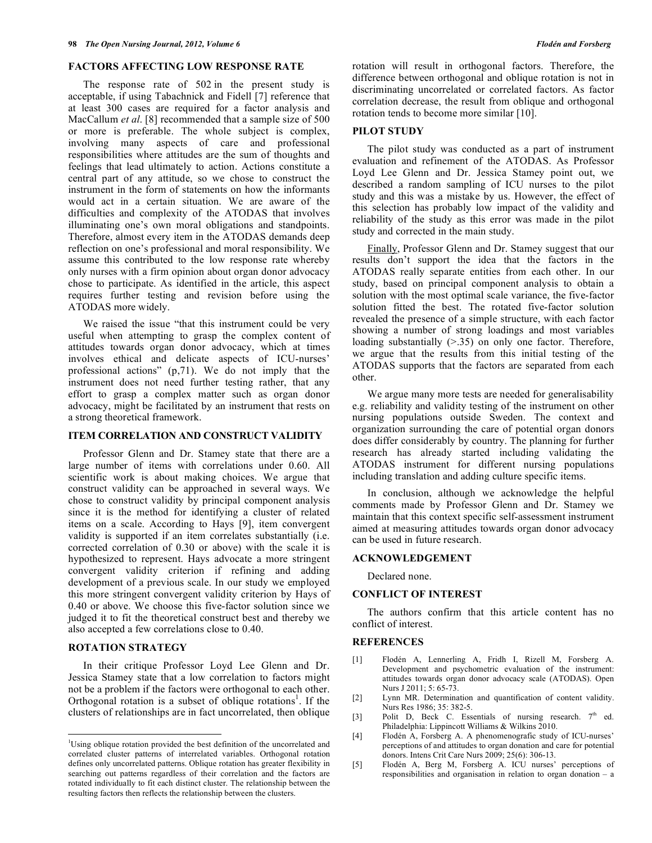#### **FACTORS AFFECTING LOW RESPONSE RATE**

 The response rate of 502 in the present study is acceptable, if using Tabachnick and Fidell [7] reference that at least 300 cases are required for a factor analysis and MacCallum *et al*. [8] recommended that a sample size of 500 or more is preferable. The whole subject is complex, involving many aspects of care and professional responsibilities where attitudes are the sum of thoughts and feelings that lead ultimately to action. Actions constitute a central part of any attitude, so we chose to construct the instrument in the form of statements on how the informants would act in a certain situation. We are aware of the difficulties and complexity of the ATODAS that involves illuminating one's own moral obligations and standpoints. Therefore, almost every item in the ATODAS demands deep reflection on one's professional and moral responsibility. We assume this contributed to the low response rate whereby only nurses with a firm opinion about organ donor advocacy chose to participate. As identified in the article, this aspect requires further testing and revision before using the ATODAS more widely.

 We raised the issue "that this instrument could be very useful when attempting to grasp the complex content of attitudes towards organ donor advocacy, which at times involves ethical and delicate aspects of ICU-nurses' professional actions" (p,71). We do not imply that the instrument does not need further testing rather, that any effort to grasp a complex matter such as organ donor advocacy, might be facilitated by an instrument that rests on a strong theoretical framework.

#### **ITEM CORRELATION AND CONSTRUCT VALIDITY**

 Professor Glenn and Dr. Stamey state that there are a large number of items with correlations under 0.60. All scientific work is about making choices. We argue that construct validity can be approached in several ways. We chose to construct validity by principal component analysis since it is the method for identifying a cluster of related items on a scale. According to Hays [9], item convergent validity is supported if an item correlates substantially (i.e. corrected correlation of 0.30 or above) with the scale it is hypothesized to represent. Hays advocate a more stringent convergent validity criterion if refining and adding development of a previous scale. In our study we employed this more stringent convergent validity criterion by Hays of 0.40 or above. We choose this five-factor solution since we judged it to fit the theoretical construct best and thereby we also accepted a few correlations close to 0.40.

#### **ROTATION STRATEGY**

1

 In their critique Professor Loyd Lee Glenn and Dr. Jessica Stamey state that a low correlation to factors might not be a problem if the factors were orthogonal to each other. Orthogonal rotation is a subset of oblique rotations<sup>1</sup>. If the clusters of relationships are in fact uncorrelated, then oblique

rotation will result in orthogonal factors. Therefore, the difference between orthogonal and oblique rotation is not in discriminating uncorrelated or correlated factors. As factor correlation decrease, the result from oblique and orthogonal rotation tends to become more similar [10].

#### **PILOT STUDY**

 The pilot study was conducted as a part of instrument evaluation and refinement of the ATODAS. As Professor Loyd Lee Glenn and Dr. Jessica Stamey point out, we described a random sampling of ICU nurses to the pilot study and this was a mistake by us. However, the effect of this selection has probably low impact of the validity and reliability of the study as this error was made in the pilot study and corrected in the main study.

 Finally, Professor Glenn and Dr. Stamey suggest that our results don't support the idea that the factors in the ATODAS really separate entities from each other. In our study, based on principal component analysis to obtain a solution with the most optimal scale variance, the five-factor solution fitted the best. The rotated five-factor solution revealed the presence of a simple structure, with each factor showing a number of strong loadings and most variables loading substantially ( $> 0.35$ ) on only one factor. Therefore, we argue that the results from this initial testing of the ATODAS supports that the factors are separated from each other.

 We argue many more tests are needed for generalisability e.g. reliability and validity testing of the instrument on other nursing populations outside Sweden. The context and organization surrounding the care of potential organ donors does differ considerably by country. The planning for further research has already started including validating the ATODAS instrument for different nursing populations including translation and adding culture specific items.

 In conclusion, although we acknowledge the helpful comments made by Professor Glenn and Dr. Stamey we maintain that this context specific self-assessment instrument aimed at measuring attitudes towards organ donor advocacy can be used in future research.

#### **ACKNOWLEDGEMENT**

Declared none.

#### **CONFLICT OF INTEREST**

 The authors confirm that this article content has no conflict of interest.

#### **REFERENCES**

- [1] Flodén A, Lennerling A, Fridh I, Rizell M, Forsberg A. Development and psychometric evaluation of the instrument: attitudes towards organ donor advocacy scale (ATODAS). Open Nurs J 2011; 5: 65-73.
- [2] Lynn MR. Determination and quantification of content validity. Nurs Res 1986; 35: 382-5.
- [3] Polit D, Beck C. Essentials of nursing research.  $7<sup>th</sup>$  ed. Philadelphia: Lippincott Williams & Wilkins 2010.
- [4] Flodén A, Forsberg A. A phenomenografic study of ICU-nurses' perceptions of and attitudes to organ donation and care for potential donors. Intens Crit Care Nurs 2009; 25(6): 306-13.
- [5] Flodén A, Berg M, Forsberg A. ICU nurses' perceptions of responsibilities and organisation in relation to organ donation – a

<sup>&</sup>lt;sup>1</sup>Using oblique rotation provided the best definition of the uncorrelated and correlated cluster patterns of interrelated variables. Orthogonal rotation defines only uncorrelated patterns. Oblique rotation has greater flexibility in searching out patterns regardless of their correlation and the factors are rotated individually to fit each distinct cluster. The relationship between the resulting factors then reflects the relationship between the clusters.